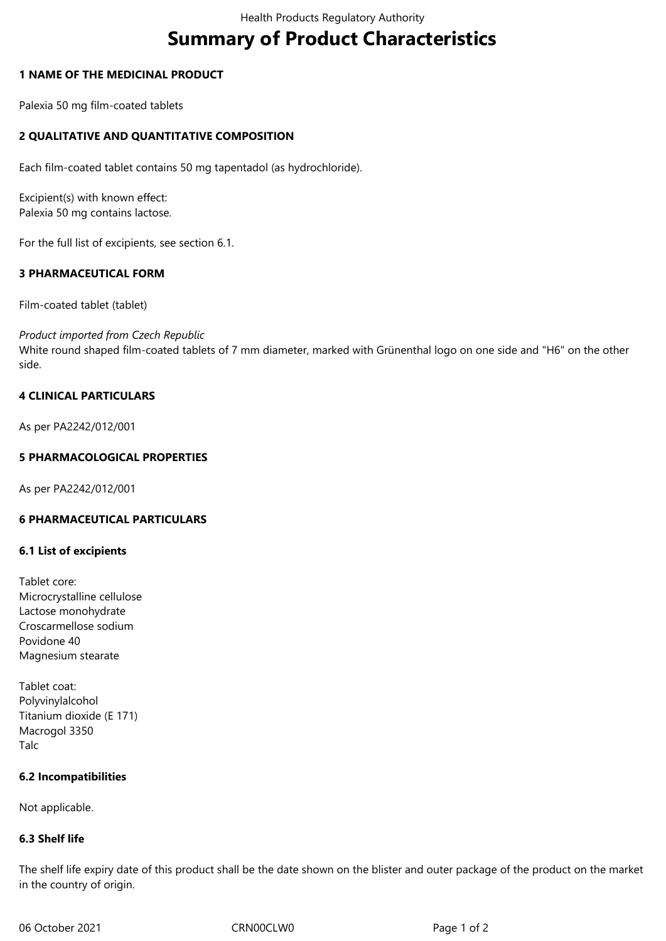# **Summary of Product Characteristics**

## **1 NAME OF THE MEDICINAL PRODUCT**

Palexia 50 mg film-coated tablets

## **2 QUALITATIVE AND QUANTITATIVE COMPOSITION**

Each film-coated tablet contains 50 mg tapentadol (as hydrochloride).

Excipient(s) with known effect: Palexia 50 mg contains lactose.

For the full list of excipients, see section 6.1.

## **3 PHARMACEUTICAL FORM**

Film-coated tablet (tablet)

*Product imported from Czech Republic*

White round shaped film-coated tablets of 7 mm diameter, marked with Grünenthal logo on one side and "H6" on the other side.

## **4 CLINICAL PARTICULARS**

As per PA2242/012/001

## **5 PHARMACOLOGICAL PROPERTIES**

As per PA2242/012/001

## **6 PHARMACEUTICAL PARTICULARS**

#### **6.1 List of excipients**

Tablet core: Microcrystalline cellulose Lactose monohydrate Croscarmellose sodium Povidone 40 Magnesium stearate

Tablet coat: Polyvinylalcohol Titanium dioxide (E 171) Macrogol 3350 Talc

#### **6.2 Incompatibilities**

Not applicable.

#### **6.3 Shelf life**

The shelf life expiry date of this product shall be the date shown on the blister and outer package of the product on the market in the country of origin.

06 October 2021 CRN00CLW0 Page 1 of 2